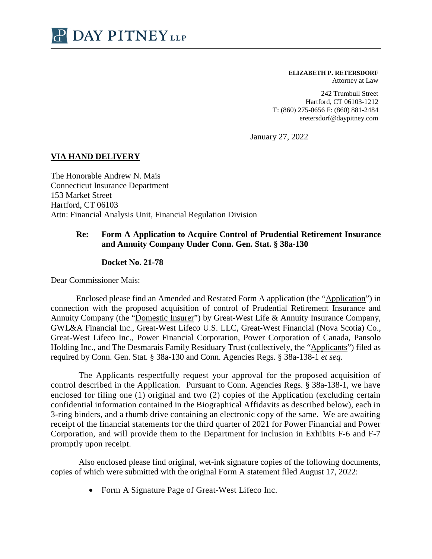

## **ELIZABETH P. RETERSDORF**

Attorney at Law

242 Trumbull Street Hartford, CT 06103-1212 T: (860) 275-0656 F: (860) 881-2484 eretersdorf@daypitney.com

January 27, 2022

## **VIA HAND DELIVERY**

The Honorable Andrew N. Mais Connecticut Insurance Department 153 Market Street Hartford, CT 06103 Attn: Financial Analysis Unit, Financial Regulation Division

## **Re: Form A Application to Acquire Control of Prudential Retirement Insurance and Annuity Company Under Conn. Gen. Stat. § 38a-130**

## **Docket No. 21-78**

Dear Commissioner Mais:

Enclosed please find an Amended and Restated Form A application (the "Application") in connection with the proposed acquisition of control of Prudential Retirement Insurance and Annuity Company (the "Domestic Insurer") by Great-West Life & Annuity Insurance Company, GWL&A Financial Inc., Great-West Lifeco U.S. LLC, Great-West Financial (Nova Scotia) Co., Great-West Lifeco Inc., Power Financial Corporation, Power Corporation of Canada, Pansolo Holding Inc., and The Desmarais Family Residuary Trust (collectively, the "Applicants") filed as required by Conn. Gen. Stat. § 38a-130 and Conn. Agencies Regs. § 38a-138-1 *et seq*.

The Applicants respectfully request your approval for the proposed acquisition of control described in the Application. Pursuant to Conn. Agencies Regs. § 38a-138-1, we have enclosed for filing one (1) original and two (2) copies of the Application (excluding certain confidential information contained in the Biographical Affidavits as described below), each in 3-ring binders, and a thumb drive containing an electronic copy of the same. We are awaiting receipt of the financial statements for the third quarter of 2021 for Power Financial and Power Corporation, and will provide them to the Department for inclusion in Exhibits F-6 and F-7 promptly upon receipt.

Also enclosed please find original, wet-ink signature copies of the following documents, copies of which were submitted with the original Form A statement filed August 17, 2022:

Form A Signature Page of Great-West Lifeco Inc.